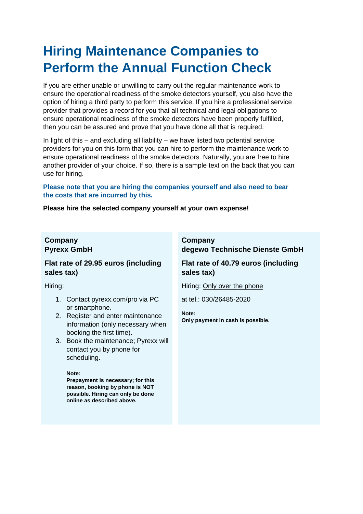# **Hiring Maintenance Companies to Perform the Annual Function Check**

If you are either unable or unwilling to carry out the regular maintenance work to ensure the operational readiness of the smoke detectors yourself, you also have the option of hiring a third party to perform this service. If you hire a professional service provider that provides a record for you that all technical and legal obligations to ensure operational readiness of the smoke detectors have been properly fulfilled, then you can be assured and prove that you have done all that is required.

In light of this – and excluding all liability – we have listed two potential service providers for you on this form that you can hire to perform the maintenance work to ensure operational readiness of the smoke detectors. Naturally, you are free to hire another provider of your choice. If so, there is a sample text on the back that you can use for hiring.

### **Please note that you are hiring the companies yourself and also need to bear the costs that are incurred by this.**

#### **Please hire the selected company yourself at your own expense!**

## **Company Pyrexx GmbH**

## **Flat rate of 29.95 euros (including sales tax)**

Hiring:

- 1. Contact pyrexx.com/pro via PC or smartphone.
- 2. Register and enter maintenance information (only necessary when booking the first time).
- 3. Book the maintenance; Pyrexx will contact you by phone for scheduling.

#### **Note:**

**Prepayment is necessary; for this reason, booking by phone is NOT possible. Hiring can only be done online as described above.**

## **Company degewo Technische Dienste GmbH**

**Flat rate of 40.79 euros (including sales tax)**

Hiring: Only over the phone

at tel.: 030/26485-2020

**Note: Only payment in cash is possible.**